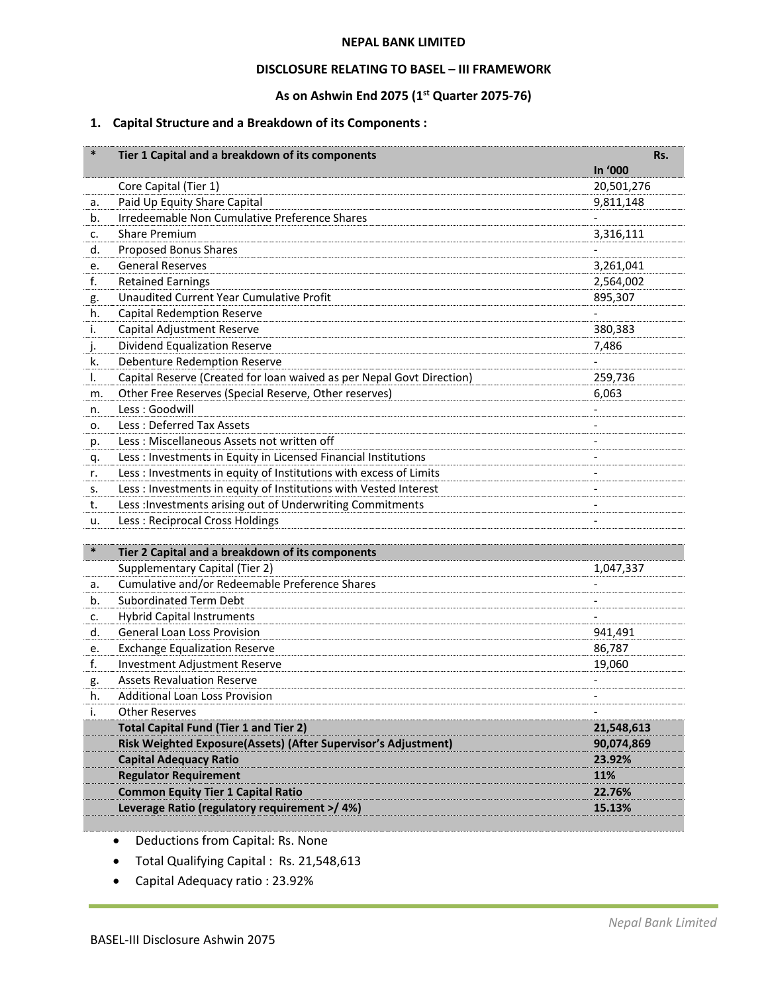#### **NEPAL BANK LIMITED**

#### **DISCLOSURE RELATING TO BASEL – III FRAMEWORK**

## **As on Ashwin End 2075 (1 st Quarter 2075-76)**

# **1. Capital Structure and a Breakdown of its Components :**

| In '000<br>Core Capital (Tier 1)<br>20,501,276<br>Paid Up Equity Share Capital<br>9,811,148<br>a.<br>Irredeemable Non Cumulative Preference Shares<br>b.<br><b>Share Premium</b><br>3,316,111<br>c.<br>Proposed Bonus Shares<br>d.<br><b>General Reserves</b><br>3,261,041<br>e.<br><b>Retained Earnings</b><br>f.<br>2,564,002<br><b>Unaudited Current Year Cumulative Profit</b><br>895,307<br>g.<br><b>Capital Redemption Reserve</b><br>h.<br>Capital Adjustment Reserve<br>380,383<br>i.<br>Dividend Equalization Reserve<br>7,486<br>j.<br>Debenture Redemption Reserve<br>k.<br>Capital Reserve (Created for loan waived as per Nepal Govt Direction)<br>259,736<br>I.<br>Other Free Reserves (Special Reserve, Other reserves)<br>6,063<br>m.<br>Less: Goodwill<br>n.<br>Less: Deferred Tax Assets<br>о.<br>Less: Miscellaneous Assets not written off<br>p.<br>Less : Investments in Equity in Licensed Financial Institutions<br>q.<br>Less : Investments in equity of Institutions with excess of Limits<br>r.<br>Less : Investments in equity of Institutions with Vested Interest<br>s.<br>Less : Investments arising out of Underwriting Commitments<br>t.<br>$\overline{a}$<br>Less: Reciprocal Cross Holdings<br>u.<br>$\ast$<br>Tier 2 Capital and a breakdown of its components<br>Supplementary Capital (Tier 2)<br>1,047,337<br>Cumulative and/or Redeemable Preference Shares<br>а.<br><b>Subordinated Term Debt</b><br>b.<br><b>Hybrid Capital Instruments</b><br>c.<br><b>General Loan Loss Provision</b><br>d.<br>941,491<br><b>Exchange Equalization Reserve</b><br>86,787<br>e.<br>Investment Adjustment Reserve<br>19,060<br>f.<br><b>Assets Revaluation Reserve</b><br>g.<br>Additional Loan Loss Provision<br>h.<br><b>Other Reserves</b><br>i.<br><b>Total Capital Fund (Tier 1 and Tier 2)</b><br>21,548,613<br>Risk Weighted Exposure(Assets) (After Supervisor's Adjustment)<br>90,074,869<br><b>Capital Adequacy Ratio</b><br>23.92%<br><b>Regulator Requirement</b><br>11%<br><b>Common Equity Tier 1 Capital Ratio</b><br>22.76%<br>Leverage Ratio (regulatory requirement >/ 4%)<br>15.13% | $\ast$ | Tier 1 Capital and a breakdown of its components | Rs. |
|---------------------------------------------------------------------------------------------------------------------------------------------------------------------------------------------------------------------------------------------------------------------------------------------------------------------------------------------------------------------------------------------------------------------------------------------------------------------------------------------------------------------------------------------------------------------------------------------------------------------------------------------------------------------------------------------------------------------------------------------------------------------------------------------------------------------------------------------------------------------------------------------------------------------------------------------------------------------------------------------------------------------------------------------------------------------------------------------------------------------------------------------------------------------------------------------------------------------------------------------------------------------------------------------------------------------------------------------------------------------------------------------------------------------------------------------------------------------------------------------------------------------------------------------------------------------------------------------------------------------------------------------------------------------------------------------------------------------------------------------------------------------------------------------------------------------------------------------------------------------------------------------------------------------------------------------------------------------------------------------------------------------------------------------------------------------------------------------------------------------------------|--------|--------------------------------------------------|-----|
|                                                                                                                                                                                                                                                                                                                                                                                                                                                                                                                                                                                                                                                                                                                                                                                                                                                                                                                                                                                                                                                                                                                                                                                                                                                                                                                                                                                                                                                                                                                                                                                                                                                                                                                                                                                                                                                                                                                                                                                                                                                                                                                                 |        |                                                  |     |
|                                                                                                                                                                                                                                                                                                                                                                                                                                                                                                                                                                                                                                                                                                                                                                                                                                                                                                                                                                                                                                                                                                                                                                                                                                                                                                                                                                                                                                                                                                                                                                                                                                                                                                                                                                                                                                                                                                                                                                                                                                                                                                                                 |        |                                                  |     |
|                                                                                                                                                                                                                                                                                                                                                                                                                                                                                                                                                                                                                                                                                                                                                                                                                                                                                                                                                                                                                                                                                                                                                                                                                                                                                                                                                                                                                                                                                                                                                                                                                                                                                                                                                                                                                                                                                                                                                                                                                                                                                                                                 |        |                                                  |     |
|                                                                                                                                                                                                                                                                                                                                                                                                                                                                                                                                                                                                                                                                                                                                                                                                                                                                                                                                                                                                                                                                                                                                                                                                                                                                                                                                                                                                                                                                                                                                                                                                                                                                                                                                                                                                                                                                                                                                                                                                                                                                                                                                 |        |                                                  |     |
|                                                                                                                                                                                                                                                                                                                                                                                                                                                                                                                                                                                                                                                                                                                                                                                                                                                                                                                                                                                                                                                                                                                                                                                                                                                                                                                                                                                                                                                                                                                                                                                                                                                                                                                                                                                                                                                                                                                                                                                                                                                                                                                                 |        |                                                  |     |
|                                                                                                                                                                                                                                                                                                                                                                                                                                                                                                                                                                                                                                                                                                                                                                                                                                                                                                                                                                                                                                                                                                                                                                                                                                                                                                                                                                                                                                                                                                                                                                                                                                                                                                                                                                                                                                                                                                                                                                                                                                                                                                                                 |        |                                                  |     |
|                                                                                                                                                                                                                                                                                                                                                                                                                                                                                                                                                                                                                                                                                                                                                                                                                                                                                                                                                                                                                                                                                                                                                                                                                                                                                                                                                                                                                                                                                                                                                                                                                                                                                                                                                                                                                                                                                                                                                                                                                                                                                                                                 |        |                                                  |     |
|                                                                                                                                                                                                                                                                                                                                                                                                                                                                                                                                                                                                                                                                                                                                                                                                                                                                                                                                                                                                                                                                                                                                                                                                                                                                                                                                                                                                                                                                                                                                                                                                                                                                                                                                                                                                                                                                                                                                                                                                                                                                                                                                 |        |                                                  |     |
|                                                                                                                                                                                                                                                                                                                                                                                                                                                                                                                                                                                                                                                                                                                                                                                                                                                                                                                                                                                                                                                                                                                                                                                                                                                                                                                                                                                                                                                                                                                                                                                                                                                                                                                                                                                                                                                                                                                                                                                                                                                                                                                                 |        |                                                  |     |
|                                                                                                                                                                                                                                                                                                                                                                                                                                                                                                                                                                                                                                                                                                                                                                                                                                                                                                                                                                                                                                                                                                                                                                                                                                                                                                                                                                                                                                                                                                                                                                                                                                                                                                                                                                                                                                                                                                                                                                                                                                                                                                                                 |        |                                                  |     |
|                                                                                                                                                                                                                                                                                                                                                                                                                                                                                                                                                                                                                                                                                                                                                                                                                                                                                                                                                                                                                                                                                                                                                                                                                                                                                                                                                                                                                                                                                                                                                                                                                                                                                                                                                                                                                                                                                                                                                                                                                                                                                                                                 |        |                                                  |     |
|                                                                                                                                                                                                                                                                                                                                                                                                                                                                                                                                                                                                                                                                                                                                                                                                                                                                                                                                                                                                                                                                                                                                                                                                                                                                                                                                                                                                                                                                                                                                                                                                                                                                                                                                                                                                                                                                                                                                                                                                                                                                                                                                 |        |                                                  |     |
|                                                                                                                                                                                                                                                                                                                                                                                                                                                                                                                                                                                                                                                                                                                                                                                                                                                                                                                                                                                                                                                                                                                                                                                                                                                                                                                                                                                                                                                                                                                                                                                                                                                                                                                                                                                                                                                                                                                                                                                                                                                                                                                                 |        |                                                  |     |
|                                                                                                                                                                                                                                                                                                                                                                                                                                                                                                                                                                                                                                                                                                                                                                                                                                                                                                                                                                                                                                                                                                                                                                                                                                                                                                                                                                                                                                                                                                                                                                                                                                                                                                                                                                                                                                                                                                                                                                                                                                                                                                                                 |        |                                                  |     |
|                                                                                                                                                                                                                                                                                                                                                                                                                                                                                                                                                                                                                                                                                                                                                                                                                                                                                                                                                                                                                                                                                                                                                                                                                                                                                                                                                                                                                                                                                                                                                                                                                                                                                                                                                                                                                                                                                                                                                                                                                                                                                                                                 |        |                                                  |     |
|                                                                                                                                                                                                                                                                                                                                                                                                                                                                                                                                                                                                                                                                                                                                                                                                                                                                                                                                                                                                                                                                                                                                                                                                                                                                                                                                                                                                                                                                                                                                                                                                                                                                                                                                                                                                                                                                                                                                                                                                                                                                                                                                 |        |                                                  |     |
|                                                                                                                                                                                                                                                                                                                                                                                                                                                                                                                                                                                                                                                                                                                                                                                                                                                                                                                                                                                                                                                                                                                                                                                                                                                                                                                                                                                                                                                                                                                                                                                                                                                                                                                                                                                                                                                                                                                                                                                                                                                                                                                                 |        |                                                  |     |
|                                                                                                                                                                                                                                                                                                                                                                                                                                                                                                                                                                                                                                                                                                                                                                                                                                                                                                                                                                                                                                                                                                                                                                                                                                                                                                                                                                                                                                                                                                                                                                                                                                                                                                                                                                                                                                                                                                                                                                                                                                                                                                                                 |        |                                                  |     |
|                                                                                                                                                                                                                                                                                                                                                                                                                                                                                                                                                                                                                                                                                                                                                                                                                                                                                                                                                                                                                                                                                                                                                                                                                                                                                                                                                                                                                                                                                                                                                                                                                                                                                                                                                                                                                                                                                                                                                                                                                                                                                                                                 |        |                                                  |     |
|                                                                                                                                                                                                                                                                                                                                                                                                                                                                                                                                                                                                                                                                                                                                                                                                                                                                                                                                                                                                                                                                                                                                                                                                                                                                                                                                                                                                                                                                                                                                                                                                                                                                                                                                                                                                                                                                                                                                                                                                                                                                                                                                 |        |                                                  |     |
|                                                                                                                                                                                                                                                                                                                                                                                                                                                                                                                                                                                                                                                                                                                                                                                                                                                                                                                                                                                                                                                                                                                                                                                                                                                                                                                                                                                                                                                                                                                                                                                                                                                                                                                                                                                                                                                                                                                                                                                                                                                                                                                                 |        |                                                  |     |
|                                                                                                                                                                                                                                                                                                                                                                                                                                                                                                                                                                                                                                                                                                                                                                                                                                                                                                                                                                                                                                                                                                                                                                                                                                                                                                                                                                                                                                                                                                                                                                                                                                                                                                                                                                                                                                                                                                                                                                                                                                                                                                                                 |        |                                                  |     |
|                                                                                                                                                                                                                                                                                                                                                                                                                                                                                                                                                                                                                                                                                                                                                                                                                                                                                                                                                                                                                                                                                                                                                                                                                                                                                                                                                                                                                                                                                                                                                                                                                                                                                                                                                                                                                                                                                                                                                                                                                                                                                                                                 |        |                                                  |     |
|                                                                                                                                                                                                                                                                                                                                                                                                                                                                                                                                                                                                                                                                                                                                                                                                                                                                                                                                                                                                                                                                                                                                                                                                                                                                                                                                                                                                                                                                                                                                                                                                                                                                                                                                                                                                                                                                                                                                                                                                                                                                                                                                 |        |                                                  |     |
|                                                                                                                                                                                                                                                                                                                                                                                                                                                                                                                                                                                                                                                                                                                                                                                                                                                                                                                                                                                                                                                                                                                                                                                                                                                                                                                                                                                                                                                                                                                                                                                                                                                                                                                                                                                                                                                                                                                                                                                                                                                                                                                                 |        |                                                  |     |
|                                                                                                                                                                                                                                                                                                                                                                                                                                                                                                                                                                                                                                                                                                                                                                                                                                                                                                                                                                                                                                                                                                                                                                                                                                                                                                                                                                                                                                                                                                                                                                                                                                                                                                                                                                                                                                                                                                                                                                                                                                                                                                                                 |        |                                                  |     |
|                                                                                                                                                                                                                                                                                                                                                                                                                                                                                                                                                                                                                                                                                                                                                                                                                                                                                                                                                                                                                                                                                                                                                                                                                                                                                                                                                                                                                                                                                                                                                                                                                                                                                                                                                                                                                                                                                                                                                                                                                                                                                                                                 |        |                                                  |     |
|                                                                                                                                                                                                                                                                                                                                                                                                                                                                                                                                                                                                                                                                                                                                                                                                                                                                                                                                                                                                                                                                                                                                                                                                                                                                                                                                                                                                                                                                                                                                                                                                                                                                                                                                                                                                                                                                                                                                                                                                                                                                                                                                 |        |                                                  |     |
|                                                                                                                                                                                                                                                                                                                                                                                                                                                                                                                                                                                                                                                                                                                                                                                                                                                                                                                                                                                                                                                                                                                                                                                                                                                                                                                                                                                                                                                                                                                                                                                                                                                                                                                                                                                                                                                                                                                                                                                                                                                                                                                                 |        |                                                  |     |
|                                                                                                                                                                                                                                                                                                                                                                                                                                                                                                                                                                                                                                                                                                                                                                                                                                                                                                                                                                                                                                                                                                                                                                                                                                                                                                                                                                                                                                                                                                                                                                                                                                                                                                                                                                                                                                                                                                                                                                                                                                                                                                                                 |        |                                                  |     |
|                                                                                                                                                                                                                                                                                                                                                                                                                                                                                                                                                                                                                                                                                                                                                                                                                                                                                                                                                                                                                                                                                                                                                                                                                                                                                                                                                                                                                                                                                                                                                                                                                                                                                                                                                                                                                                                                                                                                                                                                                                                                                                                                 |        |                                                  |     |
|                                                                                                                                                                                                                                                                                                                                                                                                                                                                                                                                                                                                                                                                                                                                                                                                                                                                                                                                                                                                                                                                                                                                                                                                                                                                                                                                                                                                                                                                                                                                                                                                                                                                                                                                                                                                                                                                                                                                                                                                                                                                                                                                 |        |                                                  |     |
|                                                                                                                                                                                                                                                                                                                                                                                                                                                                                                                                                                                                                                                                                                                                                                                                                                                                                                                                                                                                                                                                                                                                                                                                                                                                                                                                                                                                                                                                                                                                                                                                                                                                                                                                                                                                                                                                                                                                                                                                                                                                                                                                 |        |                                                  |     |
|                                                                                                                                                                                                                                                                                                                                                                                                                                                                                                                                                                                                                                                                                                                                                                                                                                                                                                                                                                                                                                                                                                                                                                                                                                                                                                                                                                                                                                                                                                                                                                                                                                                                                                                                                                                                                                                                                                                                                                                                                                                                                                                                 |        |                                                  |     |
|                                                                                                                                                                                                                                                                                                                                                                                                                                                                                                                                                                                                                                                                                                                                                                                                                                                                                                                                                                                                                                                                                                                                                                                                                                                                                                                                                                                                                                                                                                                                                                                                                                                                                                                                                                                                                                                                                                                                                                                                                                                                                                                                 |        |                                                  |     |
|                                                                                                                                                                                                                                                                                                                                                                                                                                                                                                                                                                                                                                                                                                                                                                                                                                                                                                                                                                                                                                                                                                                                                                                                                                                                                                                                                                                                                                                                                                                                                                                                                                                                                                                                                                                                                                                                                                                                                                                                                                                                                                                                 |        |                                                  |     |
|                                                                                                                                                                                                                                                                                                                                                                                                                                                                                                                                                                                                                                                                                                                                                                                                                                                                                                                                                                                                                                                                                                                                                                                                                                                                                                                                                                                                                                                                                                                                                                                                                                                                                                                                                                                                                                                                                                                                                                                                                                                                                                                                 |        |                                                  |     |
|                                                                                                                                                                                                                                                                                                                                                                                                                                                                                                                                                                                                                                                                                                                                                                                                                                                                                                                                                                                                                                                                                                                                                                                                                                                                                                                                                                                                                                                                                                                                                                                                                                                                                                                                                                                                                                                                                                                                                                                                                                                                                                                                 |        |                                                  |     |
|                                                                                                                                                                                                                                                                                                                                                                                                                                                                                                                                                                                                                                                                                                                                                                                                                                                                                                                                                                                                                                                                                                                                                                                                                                                                                                                                                                                                                                                                                                                                                                                                                                                                                                                                                                                                                                                                                                                                                                                                                                                                                                                                 |        |                                                  |     |
|                                                                                                                                                                                                                                                                                                                                                                                                                                                                                                                                                                                                                                                                                                                                                                                                                                                                                                                                                                                                                                                                                                                                                                                                                                                                                                                                                                                                                                                                                                                                                                                                                                                                                                                                                                                                                                                                                                                                                                                                                                                                                                                                 |        |                                                  |     |
|                                                                                                                                                                                                                                                                                                                                                                                                                                                                                                                                                                                                                                                                                                                                                                                                                                                                                                                                                                                                                                                                                                                                                                                                                                                                                                                                                                                                                                                                                                                                                                                                                                                                                                                                                                                                                                                                                                                                                                                                                                                                                                                                 |        |                                                  |     |

Deductions from Capital: Rs. None

- Total Qualifying Capital : Rs. 21,548,613
- Capital Adequacy ratio : 23.92%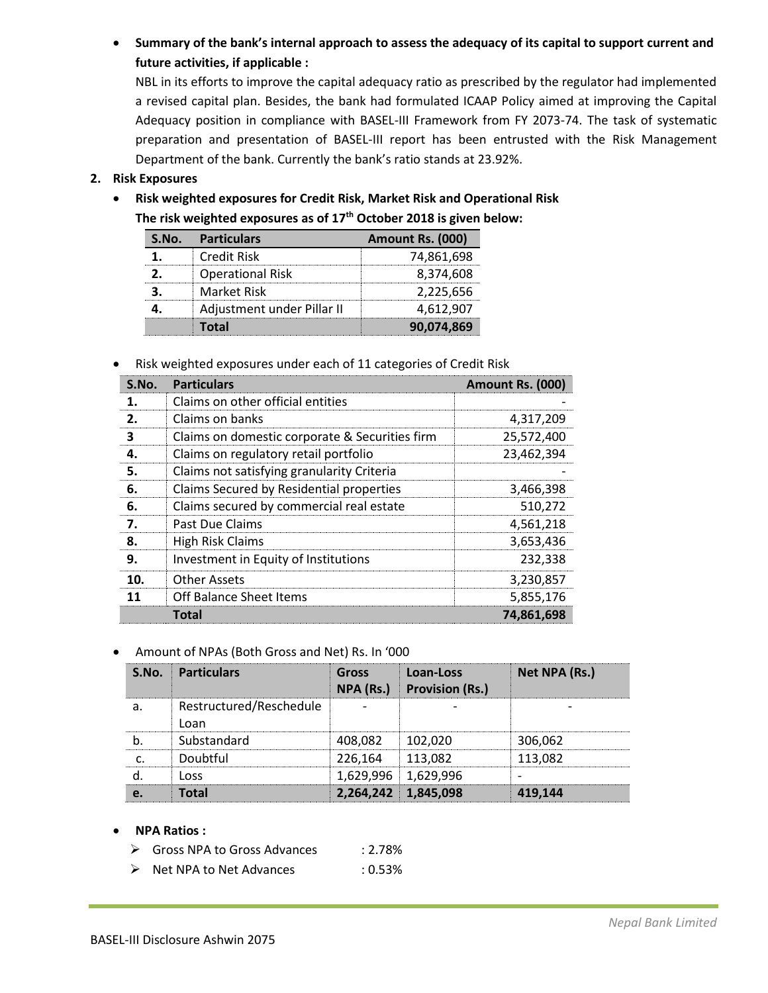**Summary of the bank's internal approach to assess the adequacy of its capital to support current and future activities, if applicable :** 

NBL in its efforts to improve the capital adequacy ratio as prescribed by the regulator had implemented a revised capital plan. Besides, the bank had formulated ICAAP Policy aimed at improving the Capital Adequacy position in compliance with BASEL-III Framework from FY 2073-74. The task of systematic preparation and presentation of BASEL-III report has been entrusted with the Risk Management Department of the bank. Currently the bank's ratio stands at 23.92%.

# **2. Risk Exposures**

 **Risk weighted exposures for Credit Risk, Market Risk and Operational Risk The risk weighted exposures as of 17 th October 2018 is given below:**

| S.No. | <b>Particulars</b>         | Amount Rs. (000) |
|-------|----------------------------|------------------|
|       | Credit Risk                | 74,861,698       |
|       | <b>Operational Risk</b>    | 8,374,608        |
|       | Market Risk                | 2,225,656        |
|       | Adjustment under Pillar II | 4,612,907        |
|       | Total                      | 90,074,869       |

Risk weighted exposures under each of 11 categories of Credit Risk

| S.No.        | <b>Particulars</b>                             | Amount Rs. (000) |
|--------------|------------------------------------------------|------------------|
| 1.           | Claims on other official entities              |                  |
| $\mathbf{z}$ | Claims on banks                                | 4,317,209        |
| з            | Claims on domestic corporate & Securities firm | 25,572,400       |
| 4.           | Claims on regulatory retail portfolio          | 23,462,394       |
| 5.           | Claims not satisfying granularity Criteria     |                  |
| 6.           | Claims Secured by Residential properties       | 3,466,398        |
| 6.           | Claims secured by commercial real estate       | 510,272          |
| 7.           | Past Due Claims                                | 4,561,218        |
| 8.           | <b>High Risk Claims</b>                        | 3,653,436        |
| 9.           | Investment in Equity of Institutions           | 232,338          |
| 10.          | Other Assets                                   | 3,230,857        |
| 11           | <b>Off Balance Sheet Items</b>                 | 5,855,176        |
|              | Total                                          | 74,861,698       |

## Amount of NPAs (Both Gross and Net) Rs. In '000

|   | S.No. Particulars       | <b>Gross</b><br>NPA (Rs.) | Loan-Loss<br><b>Provision (Rs.)</b> | Net NPA (Rs.) |
|---|-------------------------|---------------------------|-------------------------------------|---------------|
| a | Restructured/Reschedule |                           |                                     |               |
|   | Loan                    |                           |                                     |               |
|   | Substandard             | 408.082                   | 102.020                             | 306,062       |
|   | Doubtful                | 226.164                   | 113,082                             | 113,082       |
|   | Loss                    |                           | 1,629,996 1,629,996                 |               |
|   | Total                   | 2,264,242 1,845,098       |                                     | 419.144       |

#### **NPA Ratios :**

- ▶ Gross NPA to Gross Advances : 2.78%
- ▶ Net NPA to Net Advances : 0.53%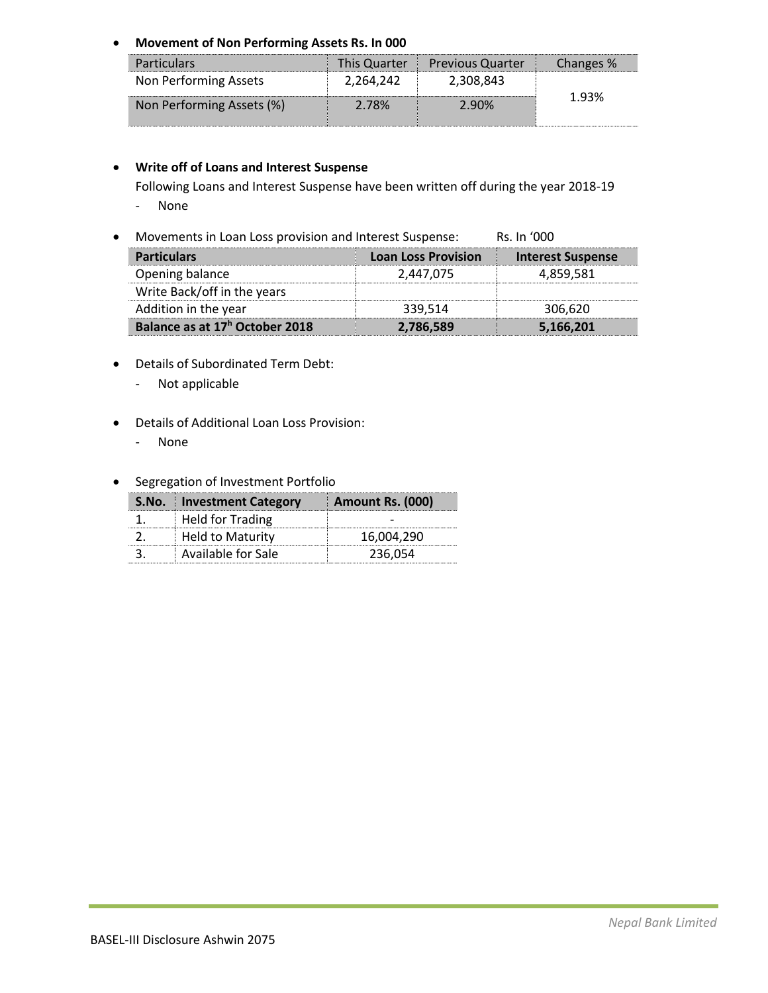# **Movement of Non Performing Assets Rs. In 000**

| <b>Particulars</b>        |           | This Quarter Previous Quarter | Changes % |
|---------------------------|-----------|-------------------------------|-----------|
| Non Performing Assets     | 2,264,242 | 2,308,843                     |           |
| Non Performing Assets (%) | 2 78%     | 2.90%                         | 1.93%     |

# **Write off of Loans and Interest Suspense**

Following Loans and Interest Suspense have been written off during the year 2018-19

- None
- Movements in Loan Loss provision and Interest Suspense: Rs. In '000

| <b>Particulars</b>                         | <b>Loan Loss Provision</b> | Interest Suspense |
|--------------------------------------------|----------------------------|-------------------|
| Opening balance                            | 2.447.075                  | 4,859,581         |
| Write Back/off in the years                |                            |                   |
| Addition in the year                       | 339,514                    | 306,620           |
| Balance as at 17 <sup>h</sup> October 2018 | 2,786,589                  | 5,166,201         |

- Details of Subordinated Term Debt:
	- Not applicable
- Details of Additional Loan Loss Provision:
	- None
- **•** Segregation of Investment Portfolio

| S.No. Investment Category | Amount Rs. (000) |
|---------------------------|------------------|
| <b>Held for Trading</b>   |                  |
| Held to Maturity          | 16.004.290       |
| Available for Sale        | 236,054          |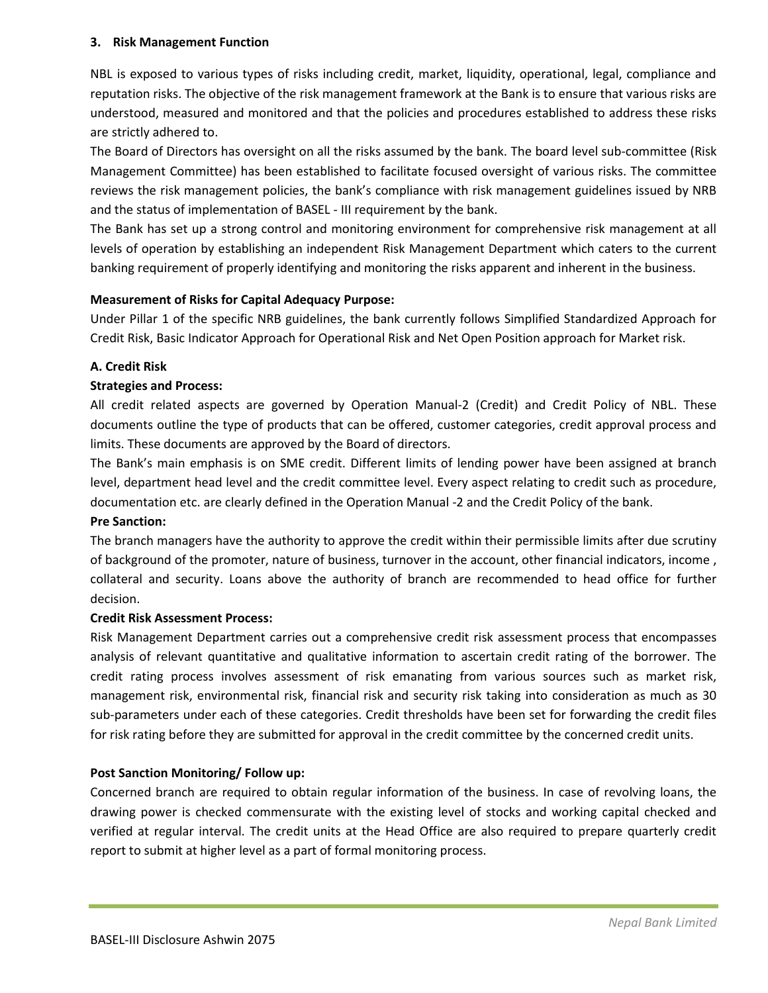## **3. Risk Management Function**

NBL is exposed to various types of risks including credit, market, liquidity, operational, legal, compliance and reputation risks. The objective of the risk management framework at the Bank is to ensure that various risks are understood, measured and monitored and that the policies and procedures established to address these risks are strictly adhered to.

The Board of Directors has oversight on all the risks assumed by the bank. The board level sub-committee (Risk Management Committee) has been established to facilitate focused oversight of various risks. The committee reviews the risk management policies, the bank's compliance with risk management guidelines issued by NRB and the status of implementation of BASEL - III requirement by the bank.

The Bank has set up a strong control and monitoring environment for comprehensive risk management at all levels of operation by establishing an independent Risk Management Department which caters to the current banking requirement of properly identifying and monitoring the risks apparent and inherent in the business.

# **Measurement of Risks for Capital Adequacy Purpose:**

Under Pillar 1 of the specific NRB guidelines, the bank currently follows Simplified Standardized Approach for Credit Risk, Basic Indicator Approach for Operational Risk and Net Open Position approach for Market risk.

# **A. Credit Risk**

# **Strategies and Process:**

All credit related aspects are governed by Operation Manual-2 (Credit) and Credit Policy of NBL. These documents outline the type of products that can be offered, customer categories, credit approval process and limits. These documents are approved by the Board of directors.

The Bank's main emphasis is on SME credit. Different limits of lending power have been assigned at branch level, department head level and the credit committee level. Every aspect relating to credit such as procedure, documentation etc. are clearly defined in the Operation Manual -2 and the Credit Policy of the bank.

## **Pre Sanction:**

The branch managers have the authority to approve the credit within their permissible limits after due scrutiny of background of the promoter, nature of business, turnover in the account, other financial indicators, income , collateral and security. Loans above the authority of branch are recommended to head office for further decision.

## **Credit Risk Assessment Process:**

Risk Management Department carries out a comprehensive credit risk assessment process that encompasses analysis of relevant quantitative and qualitative information to ascertain credit rating of the borrower. The credit rating process involves assessment of risk emanating from various sources such as market risk, management risk, environmental risk, financial risk and security risk taking into consideration as much as 30 sub-parameters under each of these categories. Credit thresholds have been set for forwarding the credit files for risk rating before they are submitted for approval in the credit committee by the concerned credit units.

# **Post Sanction Monitoring/ Follow up:**

Concerned branch are required to obtain regular information of the business. In case of revolving loans, the drawing power is checked commensurate with the existing level of stocks and working capital checked and verified at regular interval. The credit units at the Head Office are also required to prepare quarterly credit report to submit at higher level as a part of formal monitoring process.